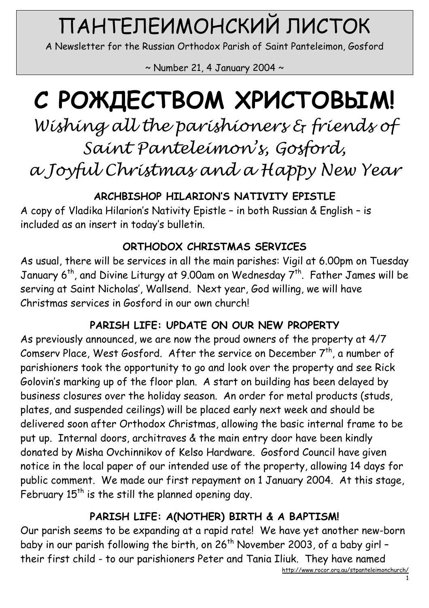# ПАНТЕЛЕИМОНСКИЙ ЛИСТОК

A Newsletter for the Russian Orthodox Parish of Saint Panteleimon, Gosford

 $\sim$  Number 21, 4 January 2004  $\sim$ 

# С РОЖДЕСТВОМ ХРИСТОВЫМ!

Wishing all the parishioners & friends of Saint Panteleimon's, Gosford, a Joyful Christmas and a Happy New Year

ARCHBISHOP HILARION'S NATIVITY EPISTLE

A copy of Vladika Hilarion's Nativity Epistle – in both Russian & English – is included as an insert in today's bulletin.

#### ORTHODOX CHRISTMAS SERVICES

As usual, there will be services in all the main parishes: Vigil at 6.00pm on Tuesday January 6<sup>th</sup>, and Divine Liturgy at 9.00am on Wednesday  $7^{th}$ . Father James will be serving at Saint Nicholas', Wallsend. Next year, God willing, we will have Christmas services in Gosford in our own church!

#### PARISH LIFE: UPDATE ON OUR NEW PROPERTY

As previously announced, we are now the proud owners of the property at 4/7 Comserv Place, West Gosford. After the service on December  $7<sup>th</sup>$ , a number of parishioners took the opportunity to go and look over the property and see Rick Golovin's marking up of the floor plan. A start on building has been delayed by business closures over the holiday season. An order for metal products (studs, plates, and suspended ceilings) will be placed early next week and should be delivered soon after Orthodox Christmas, allowing the basic internal frame to be put up. Internal doors, architraves & the main entry door have been kindly donated by Misha Ovchinnikov of Kelso Hardware. Gosford Council have given notice in the local paper of our intended use of the property, allowing 14 days for public comment. We made our first repayment on 1 January 2004. At this stage, February  $15<sup>th</sup>$  is the still the planned opening day.

## PARISH LIFE: A(NOTHER) BIRTH & A BAPTISM!

Our parish seems to be expanding at a rapid rate! We have yet another new-born baby in our parish following the birth, on 26<sup>th</sup> November 2003, of a baby girl their first child - to our parishioners Peter and Tania Iliuk. They have named

http://www.rocor.org.au/stpanteleimonchurch/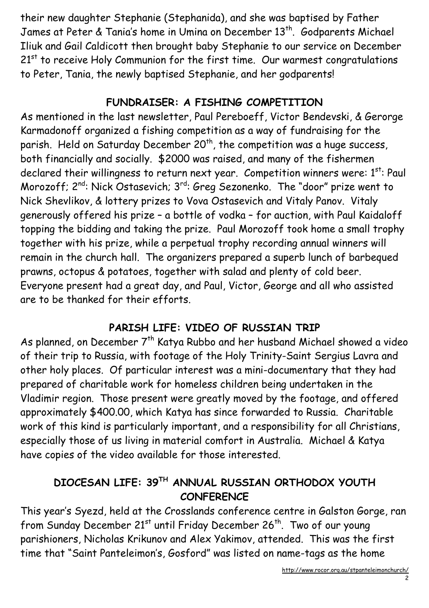their new daughter Stephanie (Stephanida), and she was baptised by Father James at Peter & Tania's home in Umina on December 13<sup>th</sup>. Godparents Michael Iliuk and Gail Caldicott then brought baby Stephanie to our service on December  $21<sup>st</sup>$  to receive Holy Communion for the first time. Our warmest congratulations to Peter, Tania, the newly baptised Stephanie, and her godparents!

#### FUNDRAISER: A FISHING COMPETITION

As mentioned in the last newsletter, Paul Pereboeff, Victor Bendevski, & Gerorge Karmadonoff organized a fishing competition as a way of fundraising for the parish. Held on Saturday December 20<sup>th</sup>, the competition was a huge success, both financially and socially. \$2000 was raised, and many of the fishermen declared their willingness to return next year. Competition winners were: 1st: Paul Morozoff; 2<sup>nd</sup>: Nick Ostasevich; 3<sup>rd</sup>: Greg Sezonenko. The "door" prize went to Nick Shevlikov, & lottery prizes to Vova Ostasevich and Vitaly Panov. Vitaly generously offered his prize – a bottle of vodka – for auction, with Paul Kaidaloff topping the bidding and taking the prize. Paul Morozoff took home a small trophy together with his prize, while a perpetual trophy recording annual winners will remain in the church hall. The organizers prepared a superb lunch of barbequed prawns, octopus & potatoes, together with salad and plenty of cold beer. Everyone present had a great day, and Paul, Victor, George and all who assisted are to be thanked for their efforts.

#### PARISH LIFE: VIDEO OF RUSSIAN TRIP

As planned, on December 7<sup>th</sup> Katya Rubbo and her husband Michael showed a video of their trip to Russia, with footage of the Holy Trinity-Saint Sergius Lavra and other holy places. Of particular interest was a mini-documentary that they had prepared of charitable work for homeless children being undertaken in the Vladimir region. Those present were greatly moved by the footage, and offered approximately \$400.00, which Katya has since forwarded to Russia. Charitable work of this kind is particularly important, and a responsibility for all Christians, especially those of us living in material comfort in Australia. Michael & Katya have copies of the video available for those interested.

#### DIOCESAN LIFE: 39TH ANNUAL RUSSIAN ORTHODOX YOUTH **CONFERENCE**

This year's Syezd, held at the Crosslands conference centre in Galston Gorge, ran from Sunday December  $21^{st}$  until Friday December  $26^{th}$ . Two of our young parishioners, Nicholas Krikunov and Alex Yakimov, attended. This was the first time that "Saint Panteleimon's, Gosford" was listed on name-tags as the home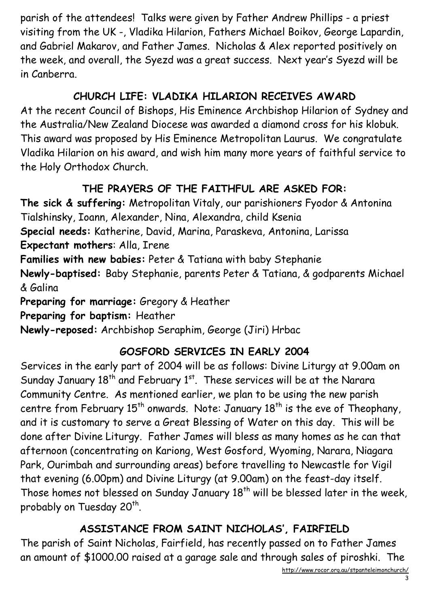parish of the attendees! Talks were given by Father Andrew Phillips - a priest visiting from the UK -, Vladika Hilarion, Fathers Michael Boikov, George Lapardin, and Gabriel Makarov, and Father James. Nicholas & Alex reported positively on the week, and overall, the Syezd was a great success. Next year's Syezd will be in Canberra.

#### CHURCH LIFE: VLADIKA HILARION RECEIVES AWARD

At the recent Council of Bishops, His Eminence Archbishop Hilarion of Sydney and the Australia/New Zealand Diocese was awarded a diamond cross for his klobuk. This award was proposed by His Eminence Metropolitan Laurus. We congratulate Vladika Hilarion on his award, and wish him many more years of faithful service to the Holy Orthodox Church.

# THE PRAYERS OF THE FAITHFUL ARE ASKED FOR:

The sick & suffering: Metropolitan Vitaly, our parishioners Fyodor & Antonina Tialshinsky, Ioann, Alexander, Nina, Alexandra, child Ksenia Special needs: Katherine, David, Marina, Paraskeva, Antonina, Larissa Expectant mothers: Alla, Irene Families with new babies: Peter & Tatiana with baby Stephanie Newly-baptised: Baby Stephanie, parents Peter & Tatiana, & godparents Michael & Galina Preparing for marriage: Gregory & Heather Preparing for baptism: Heather Newly-reposed: Archbishop Seraphim, George (Jiri) Hrbac

## GOSFORD SERVICES IN EARLY 2004

Services in the early part of 2004 will be as follows: Divine Liturgy at 9.00am on Sunday January  $18<sup>th</sup>$  and February  $1<sup>st</sup>$ . These services will be at the Narara Community Centre. As mentioned earlier, we plan to be using the new parish centre from February  $15<sup>th</sup>$  onwards. Note: January  $18<sup>th</sup>$  is the eve of Theophany, and it is customary to serve a Great Blessing of Water on this day. This will be done after Divine Liturgy. Father James will bless as many homes as he can that afternoon (concentrating on Kariong, West Gosford, Wyoming, Narara, Niagara Park, Ourimbah and surrounding areas) before travelling to Newcastle for Vigil that evening (6.00pm) and Divine Liturgy (at 9.00am) on the feast-day itself. Those homes not blessed on Sunday January  $18<sup>th</sup>$  will be blessed later in the week, probably on Tuesday 20 $^{\sf th}$ .

# ASSISTANCE FROM SAINT NICHOLAS', FAIRFIELD

The parish of Saint Nicholas, Fairfield, has recently passed on to Father James an amount of \$1000.00 raised at a garage sale and through sales of piroshki. The